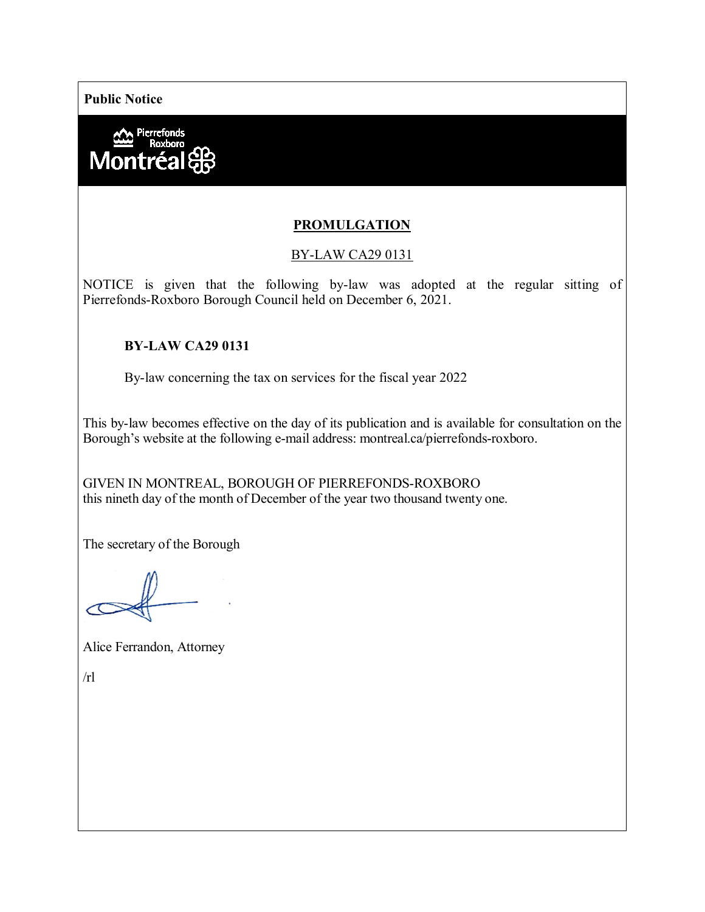**Public Notice**



# **PROMULGATION**

### BY-LAW CA29 0131

NOTICE is given that the following by-law was adopted at the regular sitting of Pierrefonds-Roxboro Borough Council held on December 6, 2021.

#### **BY-LAW CA29 0131**

By-law concerning the tax on services for the fiscal year 2022

This by-law becomes effective on the day of its publication and is available for consultation on the Borough's website at the following e-mail address: montreal.ca/pierrefonds-roxboro.

GIVEN IN MONTREAL, BOROUGH OF PIERREFONDS-ROXBORO this nineth day of the month of December of the year two thousand twenty one.

The secretary of the Borough

Alice Ferrandon, Attorney

 $/rl$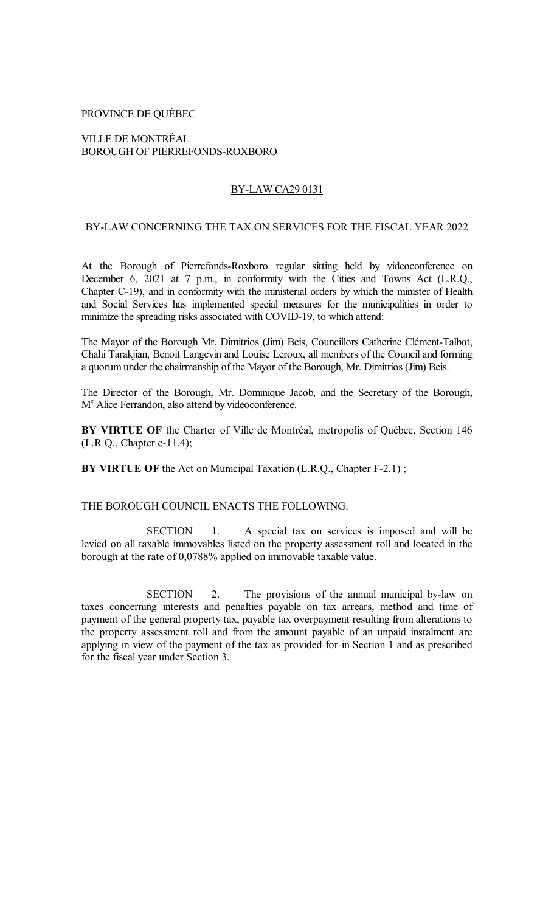## PROVINCE DE QUÉBEC

## VILLE DE MONTRÉAL BOROUGH OF PIERREFONDS-ROXBORO

### BY-LAW CA29 0131

#### BY-LAW CONCERNING THE TAX ON SERVICES FOR THE FISCAL YEAR 2022

At the Borough of Pierrefonds-Roxboro regular sitting held by videoconference on December 6, 2021 at 7 p.m., in conformity with the Cities and Towns Act (L.R.Q., Chapter C-19), and in conformity with the ministerial orders by which the minister of Health and Social Services has implemented special measures for the municipalities in order to minimize the spreading risks associated with COVID-19, to which attend:

The Mayor of the Borough Mr. Dimitrios (Jim) Beis, Councillors Catherine Clément-Talbot, Chahi Tarakjian, Benoit Langevin and Louise Leroux, all members of the Council and forming a quorum under the chairmanship of the Mayor of the Borough, Mr. Dimitrios (Jim) Beis.

The Director of the Borough, Mr. Dominique Jacob, and the Secretary of the Borough, M<sup>e</sup> Alice Ferrandon, also attend by videoconference.

**BY VIRTUE OF** the Charter of Ville de Montréal, metropolis of Québec, Section 146 (L.R.Q., Chapter c-11.4);

**BY VIRTUE OF** the Act on Municipal Taxation (L.R.O., Chapter F-2.1);

#### THE BOROUGH COUNCIL ENACTS THE FOLLOWING:

SECTION 1. A special tax on services is imposed and will be levied on all taxable immovables listed on the property assessment roll and located in the borough at the rate of 0,0788% applied on immovable taxable value.

SECTION 2. The provisions of the annual municipal by-law on taxes concerning interests and penalties payable on tax arrears, method and time of payment of the general property tax, payable tax overpayment resulting from alterations to the property assessment roll and from the amount payable of an unpaid instalment are applying in view of the payment of the tax as provided for in Section 1 and as prescribed for the fiscal year under Section 3.